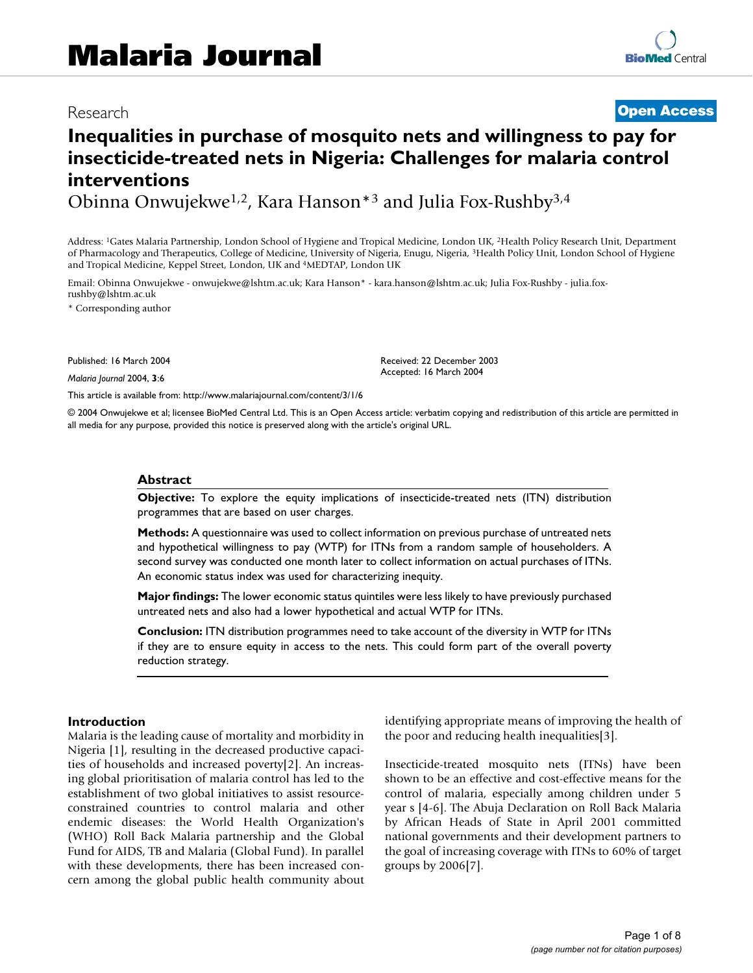## Research **[Open Access](http://www.biomedcentral.com/info/about/charter/)**

# **Inequalities in purchase of mosquito nets and willingness to pay for insecticide-treated nets in Nigeria: Challenges for malaria control interventions**

Obinna Onwujekwe1,2, Kara Hanson\*3 and Julia Fox-Rushby3,4

Address: 1Gates Malaria Partnership, London School of Hygiene and Tropical Medicine, London UK, 2Health Policy Research Unit, Department of Pharmacology and Therapeutics, College of Medicine, University of Nigeria, Enugu, Nigeria, 3Health Policy Unit, London School of Hygiene and Tropical Medicine, Keppel Street, London, UK and 4MEDTAP, London UK

Email: Obinna Onwujekwe - onwujekwe@lshtm.ac.uk; Kara Hanson\* - kara.hanson@lshtm.ac.uk; Julia Fox-Rushby - julia.foxrushby@lshtm.ac.uk

\* Corresponding author

Published: 16 March 2004

*Malaria Journal* 2004, **3**:6

[This article is available from: http://www.malariajournal.com/content/3/1/6](http://www.malariajournal.com/content/3/1/6)

Received: 22 December 2003 Accepted: 16 March 2004

© 2004 Onwujekwe et al; licensee BioMed Central Ltd. This is an Open Access article: verbatim copying and redistribution of this article are permitted in all media for any purpose, provided this notice is preserved along with the article's original URL.

#### **Abstract**

**Objective:** To explore the equity implications of insecticide-treated nets (ITN) distribution programmes that are based on user charges.

**Methods:** A questionnaire was used to collect information on previous purchase of untreated nets and hypothetical willingness to pay (WTP) for ITNs from a random sample of householders. A second survey was conducted one month later to collect information on actual purchases of ITNs. An economic status index was used for characterizing inequity.

**Major findings:** The lower economic status quintiles were less likely to have previously purchased untreated nets and also had a lower hypothetical and actual WTP for ITNs.

**Conclusion:** ITN distribution programmes need to take account of the diversity in WTP for ITNs if they are to ensure equity in access to the nets. This could form part of the overall poverty reduction strategy.

#### **Introduction**

Malaria is the leading cause of mortality and morbidity in Nigeria [1], resulting in the decreased productive capacities of households and increased poverty[2]. An increasing global prioritisation of malaria control has led to the establishment of two global initiatives to assist resourceconstrained countries to control malaria and other endemic diseases: the World Health Organization's (WHO) Roll Back Malaria partnership and the Global Fund for AIDS, TB and Malaria (Global Fund). In parallel with these developments, there has been increased concern among the global public health community about identifying appropriate means of improving the health of the poor and reducing health inequalities[3].

Insecticide-treated mosquito nets (ITNs) have been shown to be an effective and cost-effective means for the control of malaria, especially among children under 5 year s [4-6]. The Abuja Declaration on Roll Back Malaria by African Heads of State in April 2001 committed national governments and their development partners to the goal of increasing coverage with ITNs to 60% of target groups by 2006[7].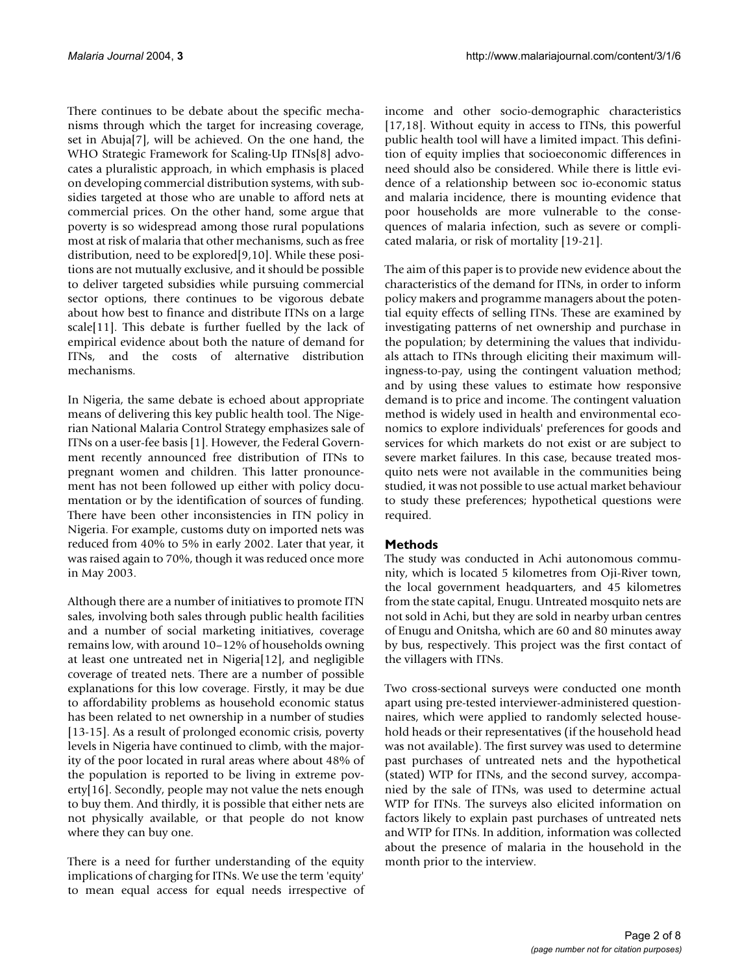There continues to be debate about the specific mechanisms through which the target for increasing coverage, set in Abuja[7], will be achieved. On the one hand, the WHO Strategic Framework for Scaling-Up ITNs[8] advocates a pluralistic approach, in which emphasis is placed on developing commercial distribution systems, with subsidies targeted at those who are unable to afford nets at commercial prices. On the other hand, some argue that poverty is so widespread among those rural populations most at risk of malaria that other mechanisms, such as free distribution, need to be explored[9,10]. While these positions are not mutually exclusive, and it should be possible to deliver targeted subsidies while pursuing commercial sector options, there continues to be vigorous debate about how best to finance and distribute ITNs on a large scale[11]. This debate is further fuelled by the lack of empirical evidence about both the nature of demand for ITNs, and the costs of alternative distribution mechanisms.

In Nigeria, the same debate is echoed about appropriate means of delivering this key public health tool. The Nigerian National Malaria Control Strategy emphasizes sale of ITNs on a user-fee basis [1]. However, the Federal Government recently announced free distribution of ITNs to pregnant women and children. This latter pronouncement has not been followed up either with policy documentation or by the identification of sources of funding. There have been other inconsistencies in ITN policy in Nigeria. For example, customs duty on imported nets was reduced from 40% to 5% in early 2002. Later that year, it was raised again to 70%, though it was reduced once more in May 2003.

Although there are a number of initiatives to promote ITN sales, involving both sales through public health facilities and a number of social marketing initiatives, coverage remains low, with around 10–12% of households owning at least one untreated net in Nigeria[12], and negligible coverage of treated nets. There are a number of possible explanations for this low coverage. Firstly, it may be due to affordability problems as household economic status has been related to net ownership in a number of studies [13-15]. As a result of prolonged economic crisis, poverty levels in Nigeria have continued to climb, with the majority of the poor located in rural areas where about 48% of the population is reported to be living in extreme poverty[16]. Secondly, people may not value the nets enough to buy them. And thirdly, it is possible that either nets are not physically available, or that people do not know where they can buy one.

There is a need for further understanding of the equity implications of charging for ITNs. We use the term 'equity' to mean equal access for equal needs irrespective of income and other socio-demographic characteristics [17,18]. Without equity in access to ITNs, this powerful public health tool will have a limited impact. This definition of equity implies that socioeconomic differences in need should also be considered. While there is little evidence of a relationship between soc io-economic status and malaria incidence, there is mounting evidence that poor households are more vulnerable to the consequences of malaria infection, such as severe or complicated malaria, or risk of mortality [19-21].

The aim of this paper is to provide new evidence about the characteristics of the demand for ITNs, in order to inform policy makers and programme managers about the potential equity effects of selling ITNs. These are examined by investigating patterns of net ownership and purchase in the population; by determining the values that individuals attach to ITNs through eliciting their maximum willingness-to-pay, using the contingent valuation method; and by using these values to estimate how responsive demand is to price and income. The contingent valuation method is widely used in health and environmental economics to explore individuals' preferences for goods and services for which markets do not exist or are subject to severe market failures. In this case, because treated mosquito nets were not available in the communities being studied, it was not possible to use actual market behaviour to study these preferences; hypothetical questions were required.

### **Methods**

The study was conducted in Achi autonomous community, which is located 5 kilometres from Oji-River town, the local government headquarters, and 45 kilometres from the state capital, Enugu. Untreated mosquito nets are not sold in Achi, but they are sold in nearby urban centres of Enugu and Onitsha, which are 60 and 80 minutes away by bus, respectively. This project was the first contact of the villagers with ITNs.

Two cross-sectional surveys were conducted one month apart using pre-tested interviewer-administered questionnaires, which were applied to randomly selected household heads or their representatives (if the household head was not available). The first survey was used to determine past purchases of untreated nets and the hypothetical (stated) WTP for ITNs, and the second survey, accompanied by the sale of ITNs, was used to determine actual WTP for ITNs. The surveys also elicited information on factors likely to explain past purchases of untreated nets and WTP for ITNs. In addition, information was collected about the presence of malaria in the household in the month prior to the interview.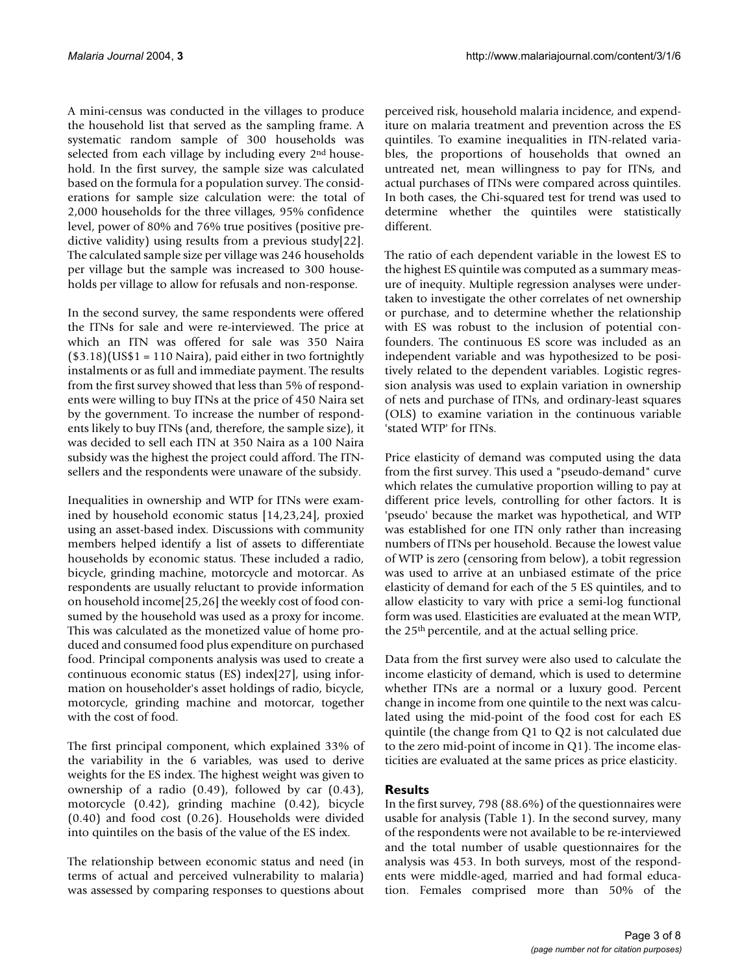A mini-census was conducted in the villages to produce the household list that served as the sampling frame. A systematic random sample of 300 households was selected from each village by including every 2<sup>nd</sup> household. In the first survey, the sample size was calculated based on the formula for a population survey. The considerations for sample size calculation were: the total of 2,000 households for the three villages, 95% confidence level, power of 80% and 76% true positives (positive predictive validity) using results from a previous study[22]. The calculated sample size per village was 246 households per village but the sample was increased to 300 households per village to allow for refusals and non-response.

In the second survey, the same respondents were offered the ITNs for sale and were re-interviewed. The price at which an ITN was offered for sale was 350 Naira  $($3.18)(US$1 = 110 Naira)$ , paid either in two fortnightly instalments or as full and immediate payment. The results from the first survey showed that less than 5% of respondents were willing to buy ITNs at the price of 450 Naira set by the government. To increase the number of respondents likely to buy ITNs (and, therefore, the sample size), it was decided to sell each ITN at 350 Naira as a 100 Naira subsidy was the highest the project could afford. The ITNsellers and the respondents were unaware of the subsidy.

Inequalities in ownership and WTP for ITNs were examined by household economic status [14,23,24], proxied using an asset-based index. Discussions with community members helped identify a list of assets to differentiate households by economic status. These included a radio, bicycle, grinding machine, motorcycle and motorcar. As respondents are usually reluctant to provide information on household income[25,26] the weekly cost of food consumed by the household was used as a proxy for income. This was calculated as the monetized value of home produced and consumed food plus expenditure on purchased food. Principal components analysis was used to create a continuous economic status (ES) index[27], using information on householder's asset holdings of radio, bicycle, motorcycle, grinding machine and motorcar, together with the cost of food.

The first principal component, which explained 33% of the variability in the 6 variables, was used to derive weights for the ES index. The highest weight was given to ownership of a radio (0.49), followed by car (0.43), motorcycle (0.42), grinding machine (0.42), bicycle (0.40) and food cost (0.26). Households were divided into quintiles on the basis of the value of the ES index.

The relationship between economic status and need (in terms of actual and perceived vulnerability to malaria) was assessed by comparing responses to questions about

perceived risk, household malaria incidence, and expenditure on malaria treatment and prevention across the ES quintiles. To examine inequalities in ITN-related variables, the proportions of households that owned an untreated net, mean willingness to pay for ITNs, and actual purchases of ITNs were compared across quintiles. In both cases, the Chi-squared test for trend was used to determine whether the quintiles were statistically different.

The ratio of each dependent variable in the lowest ES to the highest ES quintile was computed as a summary measure of inequity. Multiple regression analyses were undertaken to investigate the other correlates of net ownership or purchase, and to determine whether the relationship with ES was robust to the inclusion of potential confounders. The continuous ES score was included as an independent variable and was hypothesized to be positively related to the dependent variables. Logistic regression analysis was used to explain variation in ownership of nets and purchase of ITNs, and ordinary-least squares (OLS) to examine variation in the continuous variable 'stated WTP' for ITNs.

Price elasticity of demand was computed using the data from the first survey. This used a "pseudo-demand" curve which relates the cumulative proportion willing to pay at different price levels, controlling for other factors. It is 'pseudo' because the market was hypothetical, and WTP was established for one ITN only rather than increasing numbers of ITNs per household. Because the lowest value of WTP is zero (censoring from below), a tobit regression was used to arrive at an unbiased estimate of the price elasticity of demand for each of the 5 ES quintiles, and to allow elasticity to vary with price a semi-log functional form was used. Elasticities are evaluated at the mean WTP, the 25th percentile, and at the actual selling price.

Data from the first survey were also used to calculate the income elasticity of demand, which is used to determine whether ITNs are a normal or a luxury good. Percent change in income from one quintile to the next was calculated using the mid-point of the food cost for each ES quintile (the change from Q1 to Q2 is not calculated due to the zero mid-point of income in Q1). The income elasticities are evaluated at the same prices as price elasticity.

#### **Results**

In the first survey, 798 (88.6%) of the questionnaires were usable for analysis (Table [1\)](#page-3-0). In the second survey, many of the respondents were not available to be re-interviewed and the total number of usable questionnaires for the analysis was 453. In both surveys, most of the respondents were middle-aged, married and had formal education. Females comprised more than 50% of the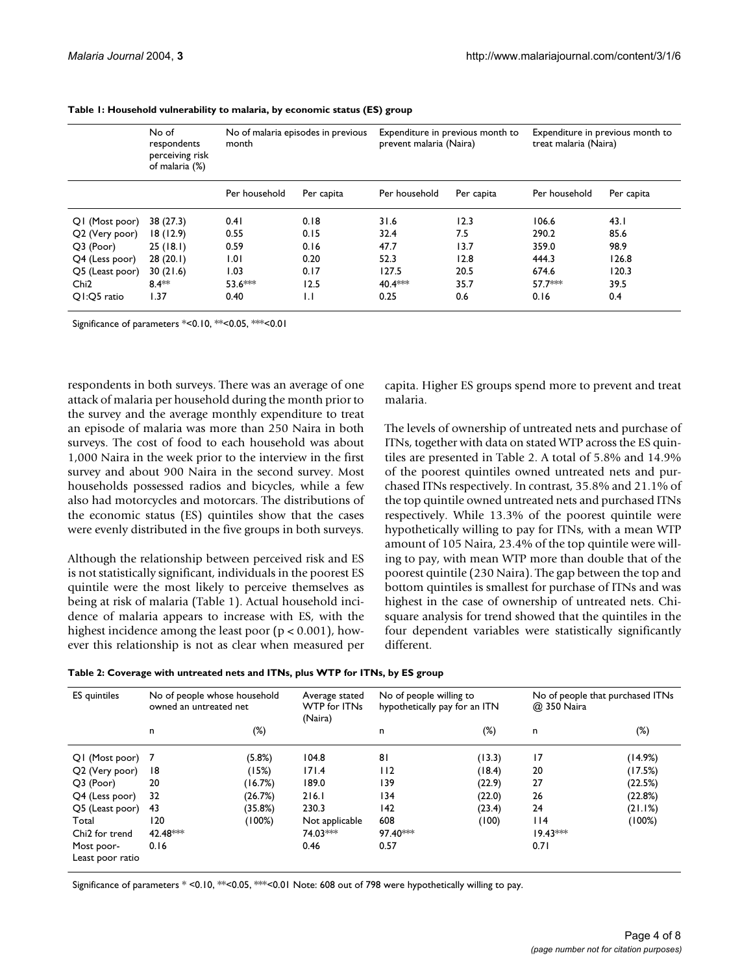|                 | No of<br>respondents<br>perceiving risk<br>of malaria (%) | month         | No of malaria episodes in previous | Expenditure in previous month to<br>prevent malaria (Naira) |            | treat malaria (Naira) | Expenditure in previous month to |  |
|-----------------|-----------------------------------------------------------|---------------|------------------------------------|-------------------------------------------------------------|------------|-----------------------|----------------------------------|--|
|                 |                                                           | Per household | Per capita                         | Per household                                               | Per capita | Per household         | Per capita                       |  |
| QI (Most poor)  | 38 (27.3)                                                 | 0.41          | 0.18                               | 31.6                                                        | 12.3       | 106.6                 | 43.1                             |  |
| Q2 (Very poor)  | 18(12.9)                                                  | 0.55          | 0.15                               | 32.4                                                        | 7.5        | 290.2                 | 85.6                             |  |
| Q3 (Poor)       | 25(18.1)                                                  | 0.59          | 0.16                               | 47.7                                                        | 13.7       | 359.0                 | 98.9                             |  |
| Q4 (Less poor)  | 28(20.1)                                                  | 1.01          | 0.20                               | 52.3                                                        | 12.8       | 444.3                 | 126.8                            |  |
| Q5 (Least poor) | 30(21.6)                                                  | 1.03          | 0.17                               | 127.5                                                       | 20.5       | 674.6                 | 120.3                            |  |
| Chi2            | $8.4**$                                                   | 53.6***       | 12.5                               | 40.4***                                                     | 35.7       | 57.7***               | 39.5                             |  |
| Q1:05 ratio     | 1.37                                                      | 0.40          | $\mathsf{L}$                       | 0.25                                                        | 0.6        | 0.16                  | 0.4                              |  |

<span id="page-3-0"></span>**Table 1: Household vulnerability to malaria, by economic status (ES) group**

Significance of parameters \*< 0.10, \*\*< 0.05, \*\*\*< 0.01

respondents in both surveys. There was an average of one attack of malaria per household during the month prior to the survey and the average monthly expenditure to treat an episode of malaria was more than 250 Naira in both surveys. The cost of food to each household was about 1,000 Naira in the week prior to the interview in the first survey and about 900 Naira in the second survey. Most households possessed radios and bicycles, while a few also had motorcycles and motorcars. The distributions of the economic status (ES) quintiles show that the cases were evenly distributed in the five groups in both surveys.

Although the relationship between perceived risk and ES is not statistically significant, individuals in the poorest ES quintile were the most likely to perceive themselves as being at risk of malaria (Table [1\)](#page-3-0). Actual household incidence of malaria appears to increase with ES, with the highest incidence among the least poor ( $p < 0.001$ ), however this relationship is not as clear when measured per capita. Higher ES groups spend more to prevent and treat malaria.

The levels of ownership of untreated nets and purchase of ITNs, together with data on stated WTP across the ES quintiles are presented in Table [2.](#page-3-1) A total of 5.8% and 14.9% of the poorest quintiles owned untreated nets and purchased ITNs respectively. In contrast, 35.8% and 21.1% of the top quintile owned untreated nets and purchased ITNs respectively. While 13.3% of the poorest quintile were hypothetically willing to pay for ITNs, with a mean WTP amount of 105 Naira, 23.4% of the top quintile were willing to pay, with mean WTP more than double that of the poorest quintile (230 Naira). The gap between the top and bottom quintiles is smallest for purchase of ITNs and was highest in the case of ownership of untreated nets. Chisquare analysis for trend showed that the quintiles in the four dependent variables were statistically significantly different.

<span id="page-3-1"></span>

| Table 2: Coverage with untreated nets and ITNs, plus WTP for ITNs, by ES group |  |  |
|--------------------------------------------------------------------------------|--|--|
|--------------------------------------------------------------------------------|--|--|

| <b>ES</b> quintiles            | No of people whose household<br>owned an untreated net |         | Average stated<br>WTP for ITNs<br>(Naira) | No of people willing to<br>hypothetically pay for an ITN |        | No of people that purchased ITNs<br>@ 350 Naira |         |
|--------------------------------|--------------------------------------------------------|---------|-------------------------------------------|----------------------------------------------------------|--------|-------------------------------------------------|---------|
|                                | n                                                      | $(\%)$  |                                           | n                                                        | (%)    | n                                               | (%)     |
| QI (Most poor)                 |                                                        | (5.8%)  | 104.8                                     | 81                                                       | (13.3) | $\overline{17}$                                 | (14.9%) |
| Q2 (Very poor)                 | 18                                                     | (15%)   | 171.4                                     | 112                                                      | (18.4) | 20                                              | (17.5%) |
| Q3 (Poor)                      | 20                                                     | (16.7%) | 189.0                                     | 139                                                      | (22.9) | 27                                              | (22.5%) |
| Q4 (Less poor)                 | 32                                                     | (26.7%) | 216.1                                     | 134                                                      | (22.0) | 26                                              | (22.8%) |
| Q5 (Least poor)                | 43                                                     | (35.8%) | 230.3                                     | 142                                                      | (23.4) | 24                                              | (21.1%) |
| Total                          | 120                                                    | (100%)  | Not applicable                            | 608                                                      | (100)  | 114                                             | (100%)  |
| Chi <sub>2</sub> for trend     | 42.48***                                               |         | 74.03***                                  | 97.40***                                                 |        | $19.43***$                                      |         |
| Most poor-<br>Least poor ratio | 0.16                                                   |         | 0.46                                      | 0.57                                                     |        | 0.71                                            |         |

Significance of parameters \* <0.10, \*\*<0.05, \*\*\*<0.01 Note: 608 out of 798 were hypothetically willing to pay.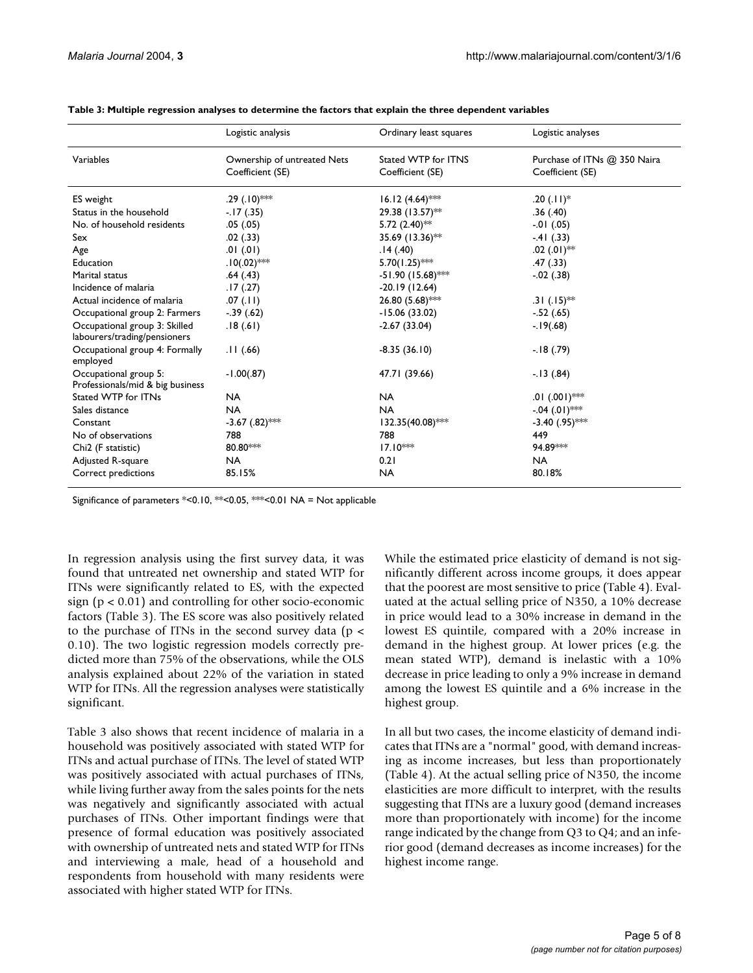|                                                               | Logistic analysis                               | Ordinary least squares                  | Logistic analyses                                |  |
|---------------------------------------------------------------|-------------------------------------------------|-----------------------------------------|--------------------------------------------------|--|
| Variables                                                     | Ownership of untreated Nets<br>Coefficient (SE) | Stated WTP for ITNS<br>Coefficient (SE) | Purchase of ITNs @ 350 Naira<br>Coefficient (SE) |  |
| ES weight                                                     | .29 $(.10)$ ***                                 | $16.12 (4.64)$ ***                      | .20 $(.11)^*$                                    |  |
| Status in the household                                       | $-17(0.35)$                                     | 29.38 (13.57)**                         | .36 (.40)                                        |  |
| No. of household residents                                    | .05(.05)                                        | 5.72 $(2.40)$ **                        | $-01(05)$                                        |  |
| Sex                                                           | .02(.33)                                        | 35.69 (13.36)**                         | $-41(0.33)$                                      |  |
| Age                                                           | .01(.01)                                        | .14(.40)                                | $.02$ (.01) <sup>**</sup>                        |  |
| Education                                                     | $.10(.02)$ ***                                  | 5.70 $(1.25)$ **                        | .47 (.33)                                        |  |
| Marital status                                                | .64(.43)                                        | $-51.90(15.68)$ **                      | $-.02(.38)$                                      |  |
| Incidence of malaria                                          | .17(.27)                                        | $-20.19(12.64)$                         |                                                  |  |
| Actual incidence of malaria                                   | .07(.11)                                        | 26.80 (5.68)***                         | .31 $(.15)$ <sup>**</sup>                        |  |
| Occupational group 2: Farmers                                 | $-.39(.62)$                                     | $-15.06(33.02)$                         | $-.52(.65)$                                      |  |
| Occupational group 3: Skilled<br>labourers/trading/pensioners | .18(.61)                                        | $-2.67(33.04)$                          | $-19(.68)$                                       |  |
| Occupational group 4: Formally<br>employed                    | .11(.66)                                        | $-8.35(36.10)$                          | $-18(0.79)$                                      |  |
| Occupational group 5:<br>Professionals/mid & big business     | $-1.00(.87)$                                    | 47.71 (39.66)                           | $-13(0.84)$                                      |  |
| Stated WTP for ITNs                                           | <b>NA</b>                                       | <b>NA</b>                               | $.01$ (.001)***                                  |  |
| Sales distance                                                | <b>NA</b>                                       | <b>NA</b>                               | $-0.04$ (.01) ***                                |  |
| Constant                                                      | $-3.67$ (.82)***                                | $132.35(40.08)$ **                      | $-3.40$ (.95)***                                 |  |
| No of observations                                            | 788                                             | 788                                     | 449                                              |  |
| Chi2 (F statistic)                                            | 80.80***                                        | $17.10***$                              | 94.89***                                         |  |
| Adjusted R-square                                             | <b>NA</b>                                       | 0.21                                    | <b>NA</b>                                        |  |
| Correct predictions                                           | 85.15%                                          | <b>NA</b>                               | 80.18%                                           |  |

<span id="page-4-0"></span>

| Table 3: Multiple regression analyses to determine the factors that explain the three dependent variables |  |  |
|-----------------------------------------------------------------------------------------------------------|--|--|
|-----------------------------------------------------------------------------------------------------------|--|--|

Significance of parameters \*<0.10, \*\*<0.05, \*\*\*<0.01 NA = Not applicable

In regression analysis using the first survey data, it was found that untreated net ownership and stated WTP for ITNs were significantly related to ES, with the expected sign (p < 0.01) and controlling for other socio-economic factors (Table [3\)](#page-4-0). The ES score was also positively related to the purchase of ITNs in the second survey data ( $p <$ 0.10). The two logistic regression models correctly predicted more than 75% of the observations, while the OLS analysis explained about 22% of the variation in stated WTP for ITNs. All the regression analyses were statistically significant.

Table [3](#page-4-0) also shows that recent incidence of malaria in a household was positively associated with stated WTP for ITNs and actual purchase of ITNs. The level of stated WTP was positively associated with actual purchases of ITNs, while living further away from the sales points for the nets was negatively and significantly associated with actual purchases of ITNs. Other important findings were that presence of formal education was positively associated with ownership of untreated nets and stated WTP for ITNs and interviewing a male, head of a household and respondents from household with many residents were associated with higher stated WTP for ITNs.

While the estimated price elasticity of demand is not significantly different across income groups, it does appear that the poorest are most sensitive to price (Table [4\)](#page-5-0). Evaluated at the actual selling price of N350, a 10% decrease in price would lead to a 30% increase in demand in the lowest ES quintile, compared with a 20% increase in demand in the highest group. At lower prices (e.g. the mean stated WTP), demand is inelastic with a 10% decrease in price leading to only a 9% increase in demand among the lowest ES quintile and a 6% increase in the highest group.

In all but two cases, the income elasticity of demand indicates that ITNs are a "normal" good, with demand increasing as income increases, but less than proportionately (Table [4\)](#page-5-0). At the actual selling price of N350, the income elasticities are more difficult to interpret, with the results suggesting that ITNs are a luxury good (demand increases more than proportionately with income) for the income range indicated by the change from Q3 to Q4; and an inferior good (demand decreases as income increases) for the highest income range.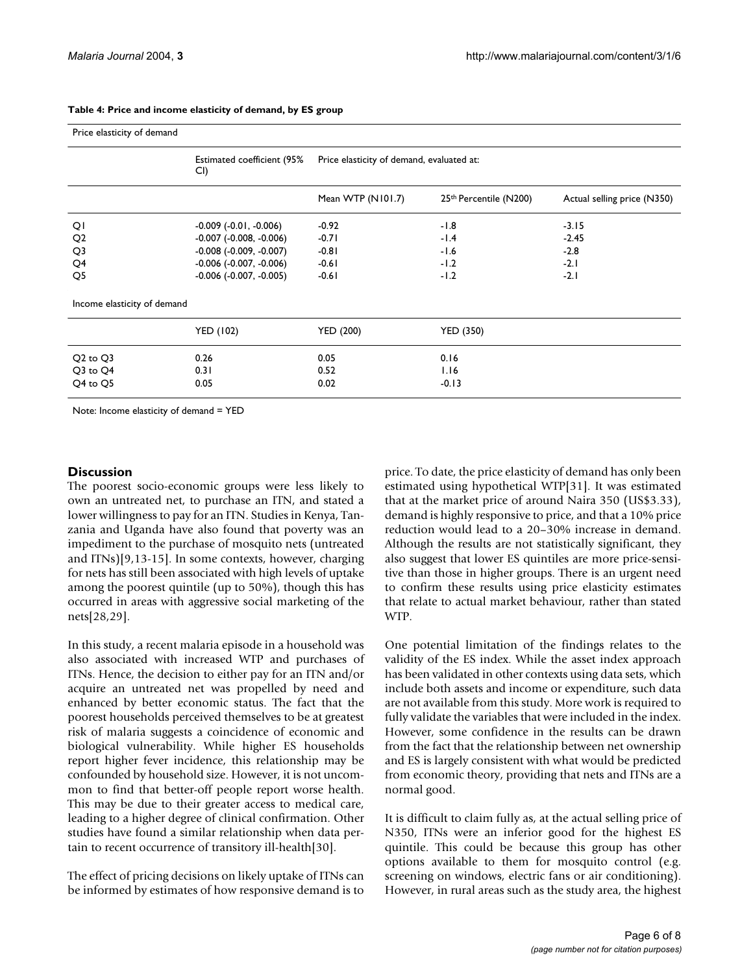| Price elasticity of demand  |                                          |                                           |                                    |                             |  |
|-----------------------------|------------------------------------------|-------------------------------------------|------------------------------------|-----------------------------|--|
|                             | <b>Estimated coefficient (95%</b><br>CI) | Price elasticity of demand, evaluated at: |                                    |                             |  |
|                             |                                          | Mean WTP (N101.7)                         | 25 <sup>th</sup> Percentile (N200) | Actual selling price (N350) |  |
| QI                          | $-0.009$ $(-0.01, -0.006)$               | $-0.92$                                   | -1.8                               | $-3.15$                     |  |
| Q <sub>2</sub>              | $-0.007$ ( $-0.008$ , $-0.006$ )         | $-0.71$                                   | $-1.4$                             | $-2.45$                     |  |
| Q <sub>3</sub>              | $-0.008$ ( $-0.009$ , $-0.007$ )         | $-0.81$                                   | $-1.6$                             | $-2.8$                      |  |
| Q4                          | $-0.006$ ( $-0.007$ , $-0.006$ )         | $-0.61$                                   | $-1.2$                             | $-2.1$                      |  |
| Q <sub>5</sub>              | $-0.006$ ( $-0.007$ , $-0.005$ )         | $-0.61$                                   | $-1.2$                             | $-2.1$                      |  |
| Income elasticity of demand |                                          |                                           |                                    |                             |  |
|                             | <b>YED (102)</b>                         | <b>YED (200)</b>                          | <b>YED (350)</b>                   |                             |  |
| $Q2$ to $Q3$                | 0.26                                     | 0.05                                      | 0.16                               |                             |  |
| Q3 to Q4                    | 0.31                                     | 0.52                                      | 1.16                               |                             |  |
| Q4 to Q5                    | 0.05                                     | 0.02                                      | $-0.13$                            |                             |  |

#### <span id="page-5-0"></span>**Table 4: Price and income elasticity of demand, by ES group**

Note: Income elasticity of demand = YED

#### **Discussion**

The poorest socio-economic groups were less likely to own an untreated net, to purchase an ITN, and stated a lower willingness to pay for an ITN. Studies in Kenya, Tanzania and Uganda have also found that poverty was an impediment to the purchase of mosquito nets (untreated and ITNs)[9,13-15]. In some contexts, however, charging for nets has still been associated with high levels of uptake among the poorest quintile (up to 50%), though this has occurred in areas with aggressive social marketing of the nets[28,29].

In this study, a recent malaria episode in a household was also associated with increased WTP and purchases of ITNs. Hence, the decision to either pay for an ITN and/or acquire an untreated net was propelled by need and enhanced by better economic status. The fact that the poorest households perceived themselves to be at greatest risk of malaria suggests a coincidence of economic and biological vulnerability. While higher ES households report higher fever incidence, this relationship may be confounded by household size. However, it is not uncommon to find that better-off people report worse health. This may be due to their greater access to medical care, leading to a higher degree of clinical confirmation. Other studies have found a similar relationship when data pertain to recent occurrence of transitory ill-health[30].

The effect of pricing decisions on likely uptake of ITNs can be informed by estimates of how responsive demand is to price. To date, the price elasticity of demand has only been estimated using hypothetical WTP[31]. It was estimated that at the market price of around Naira 350 (US\$3.33), demand is highly responsive to price, and that a 10% price reduction would lead to a 20–30% increase in demand. Although the results are not statistically significant, they also suggest that lower ES quintiles are more price-sensitive than those in higher groups. There is an urgent need to confirm these results using price elasticity estimates that relate to actual market behaviour, rather than stated WTP.

One potential limitation of the findings relates to the validity of the ES index. While the asset index approach has been validated in other contexts using data sets, which include both assets and income or expenditure, such data are not available from this study. More work is required to fully validate the variables that were included in the index. However, some confidence in the results can be drawn from the fact that the relationship between net ownership and ES is largely consistent with what would be predicted from economic theory, providing that nets and ITNs are a normal good.

It is difficult to claim fully as, at the actual selling price of N350, ITNs were an inferior good for the highest ES quintile. This could be because this group has other options available to them for mosquito control (e.g. screening on windows, electric fans or air conditioning). However, in rural areas such as the study area, the highest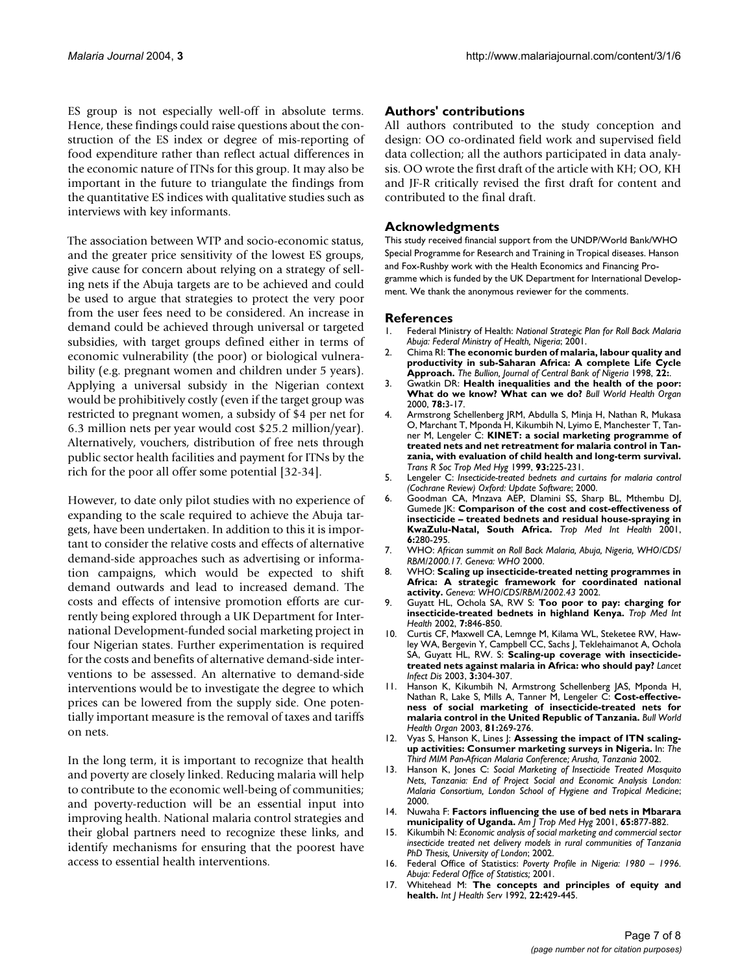ES group is not especially well-off in absolute terms. Hence, these findings could raise questions about the construction of the ES index or degree of mis-reporting of food expenditure rather than reflect actual differences in the economic nature of ITNs for this group. It may also be important in the future to triangulate the findings from the quantitative ES indices with qualitative studies such as interviews with key informants.

The association between WTP and socio-economic status, and the greater price sensitivity of the lowest ES groups, give cause for concern about relying on a strategy of selling nets if the Abuja targets are to be achieved and could be used to argue that strategies to protect the very poor from the user fees need to be considered. An increase in demand could be achieved through universal or targeted subsidies, with target groups defined either in terms of economic vulnerability (the poor) or biological vulnerability (e.g. pregnant women and children under 5 years). Applying a universal subsidy in the Nigerian context would be prohibitively costly (even if the target group was restricted to pregnant women, a subsidy of \$4 per net for 6.3 million nets per year would cost \$25.2 million/year). Alternatively, vouchers, distribution of free nets through public sector health facilities and payment for ITNs by the rich for the poor all offer some potential [32-34].

However, to date only pilot studies with no experience of expanding to the scale required to achieve the Abuja targets, have been undertaken. In addition to this it is important to consider the relative costs and effects of alternative demand-side approaches such as advertising or information campaigns, which would be expected to shift demand outwards and lead to increased demand. The costs and effects of intensive promotion efforts are currently being explored through a UK Department for International Development-funded social marketing project in four Nigerian states. Further experimentation is required for the costs and benefits of alternative demand-side interventions to be assessed. An alternative to demand-side interventions would be to investigate the degree to which prices can be lowered from the supply side. One potentially important measure is the removal of taxes and tariffs on nets.

In the long term, it is important to recognize that health and poverty are closely linked. Reducing malaria will help to contribute to the economic well-being of communities; and poverty-reduction will be an essential input into improving health. National malaria control strategies and their global partners need to recognize these links, and identify mechanisms for ensuring that the poorest have access to essential health interventions.

#### **Authors' contributions**

All authors contributed to the study conception and design: OO co-ordinated field work and supervised field data collection; all the authors participated in data analysis. OO wrote the first draft of the article with KH; OO, KH and JF-R critically revised the first draft for content and contributed to the final draft.

#### **Acknowledgments**

This study received financial support from the UNDP/World Bank/WHO Special Programme for Research and Training in Tropical diseases. Hanson and Fox-Rushby work with the Health Economics and Financing Programme which is funded by the UK Department for International Development. We thank the anonymous reviewer for the comments.

#### **References**

- 1. Federal Ministry of Health: *National Strategic Plan for Roll Back Malaria Abuja: Federal Ministry of Health, Nigeria*; 2001.
- 2. Chima RI: **The economic burden of malaria, labour quality and productivity in sub-Saharan Africa: A complete Life Cycle Approach.** *The Bullion, Journal of Central Bank of Nigeria* 1998, **22:**.
- 3. Gwatkin DR: **[Health inequalities and the health of the poor:](http://www.ncbi.nlm.nih.gov/entrez/query.fcgi?cmd=Retrieve&db=PubMed&dopt=Abstract&list_uids=10686729) [What do we know? What can we do?](http://www.ncbi.nlm.nih.gov/entrez/query.fcgi?cmd=Retrieve&db=PubMed&dopt=Abstract&list_uids=10686729)** *Bull World Health Organ* 2000, **78:**3-17.
- 4. Armstrong Schellenberg JRM, Abdulla S, Minja H, Nathan R, Mukasa O, Marchant T, Mponda H, Kikumbih N, Lyimo E, Manchester T, Tanner M, Lengeler C: **[KINET: a social marketing programme of](http://www.ncbi.nlm.nih.gov/entrez/query.fcgi?cmd=Retrieve&db=PubMed&dopt=Abstract&list_uids=10492745) treated nets and net retreatment for malaria control in Tan[zania, with evaluation of child health and long-term survival.](http://www.ncbi.nlm.nih.gov/entrez/query.fcgi?cmd=Retrieve&db=PubMed&dopt=Abstract&list_uids=10492745)** *Trans R Soc Trop Med Hyg* 1999, **93:**225-231.
- 5. Lengeler C: *Insecticide-treated bednets and curtains for malaria control (Cochrane Review) Oxford: Update Software*; 2000.
- 6. Goodman CA, Mnzava AEP, Dlamini SS, Sharp BL, Mthembu DJ, Gumede JK: **[Comparison of the cost and cost-effectiveness of](http://www.ncbi.nlm.nih.gov/entrez/query.fcgi?cmd=Retrieve&db=PubMed&dopt=Abstract&list_uids=10.1046/j.1365-3156.2001.00700.x) [insecticide – treated bednets and residual house-spraying in](http://www.ncbi.nlm.nih.gov/entrez/query.fcgi?cmd=Retrieve&db=PubMed&dopt=Abstract&list_uids=10.1046/j.1365-3156.2001.00700.x) [KwaZulu-Natal, South Africa](http://www.ncbi.nlm.nih.gov/entrez/query.fcgi?cmd=Retrieve&db=PubMed&dopt=Abstract&list_uids=10.1046/j.1365-3156.2001.00700.x)[.](http://www.ncbi.nlm.nih.gov/entrez/query.fcgi?cmd=Retrieve&db=PubMed&dopt=Abstract&list_uids=11348519)** *Trop Med Int Health* 2001, **6:**280-295.
- 7. WHO: *African summit on Roll Back Malaria, Abuja, Nigeria, WHO/CDS/ RBM/2000.17. Geneva: WHO* 2000.
- 8. WHO: **Scaling up insecticide-treated netting programmes in Africa: A strategic framework for coordinated national activity.** *Geneva: WHO/CDS/RBM/2002.43* 2002.
- 9. Guyatt HL, Ochola SA, RW S: **[Too poor to pay: charging for](http://www.ncbi.nlm.nih.gov/entrez/query.fcgi?cmd=Retrieve&db=PubMed&dopt=Abstract&list_uids=10.1046/j.1365-3156.2002.00929.x) [insecticide-treated bednets in highland Kenya](http://www.ncbi.nlm.nih.gov/entrez/query.fcgi?cmd=Retrieve&db=PubMed&dopt=Abstract&list_uids=10.1046/j.1365-3156.2002.00929.x)[.](http://www.ncbi.nlm.nih.gov/entrez/query.fcgi?cmd=Retrieve&db=PubMed&dopt=Abstract&list_uids=12358619)** *Trop Med Int Health* 2002, **7:**846-850.
- 10. Curtis CF, Maxwell CA, Lemnge M, Kilama WL, Steketee RW, Hawley WA, Bergevin Y, Campbell CC, Sachs J, Teklehaimanot A, Ochola SA, Guyatt HL, RW. S: **[Scaling-up coverage with insecticide](http://www.ncbi.nlm.nih.gov/entrez/query.fcgi?cmd=Retrieve&db=PubMed&dopt=Abstract&list_uids=10.1016/S1473-3099(03)00612-1)[treated nets against malaria in Africa: who should pay?](http://www.ncbi.nlm.nih.gov/entrez/query.fcgi?cmd=Retrieve&db=PubMed&dopt=Abstract&list_uids=10.1016/S1473-3099(03)00612-1)** *Lancet Infect Dis* 2003, **3:**304-307.
- 11. Hanson K, Kikumbih N, Armstrong Schellenberg JAS, Mponda H, Nathan R, Lake S, Mills A, Tanner M, Lengeler C: **[Cost-effective](http://www.ncbi.nlm.nih.gov/entrez/query.fcgi?cmd=Retrieve&db=PubMed&dopt=Abstract&list_uids=12764493)[ness of social marketing of insecticide-treated nets for](http://www.ncbi.nlm.nih.gov/entrez/query.fcgi?cmd=Retrieve&db=PubMed&dopt=Abstract&list_uids=12764493) [malaria control in the United Republic of Tanzania.](http://www.ncbi.nlm.nih.gov/entrez/query.fcgi?cmd=Retrieve&db=PubMed&dopt=Abstract&list_uids=12764493)** *Bull World Health Organ* 2003, **81:**269-276.
- 12. Vyas S, Hanson K, Lines J: **Assessing the impact of ITN scalingup activities: Consumer marketing surveys in Nigeria.** In: *The Third MIM Pan-African Malaria Conference; Arusha, Tanzania* 2002.
- 13. Hanson K, Jones C: *Social Marketing of Insecticide Treated Mosquito Nets, Tanzania: End of Project Social and Economic Analysis London: Malaria Consortium, London School of Hygiene and Tropical Medicine*; 2000.
- 14. Nuwaha F: **[Factors influencing the use of bed nets in Mbarara](http://www.ncbi.nlm.nih.gov/entrez/query.fcgi?cmd=Retrieve&db=PubMed&dopt=Abstract&list_uids=11791991) [municipality of Uganda.](http://www.ncbi.nlm.nih.gov/entrez/query.fcgi?cmd=Retrieve&db=PubMed&dopt=Abstract&list_uids=11791991)** *Am J Trop Med Hyg* 2001, **65:**877-882.
- 15. Kikumbih N: *Economic analysis of social marketing and commercial sector insecticide treated net delivery models in rural communities of Tanzania PhD Thesis, University of London*; 2002.
- 16. Federal Office of Statistics: *Poverty Profile in Nigeria: 1980 1996. Abuja: Federal Office of Statistics;* 2001.
- 17. Whitehead M: **[The concepts and principles of equity and](http://www.ncbi.nlm.nih.gov/entrez/query.fcgi?cmd=Retrieve&db=PubMed&dopt=Abstract&list_uids=1644507) [health.](http://www.ncbi.nlm.nih.gov/entrez/query.fcgi?cmd=Retrieve&db=PubMed&dopt=Abstract&list_uids=1644507)** *Int J Health Serv* 1992, **22:**429-445.